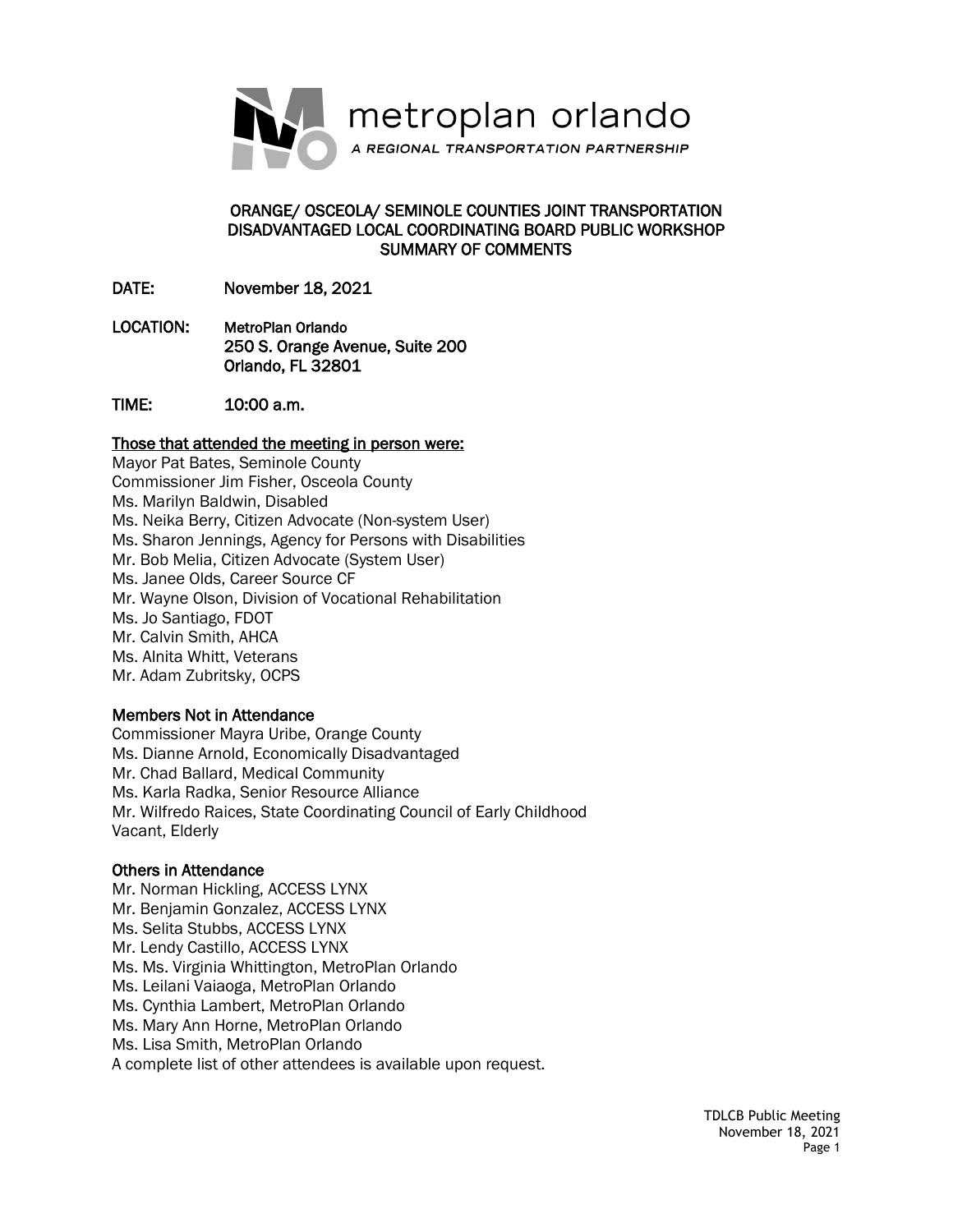

#### ORANGE/ OSCEOLA/ SEMINOLE COUNTIES JOINT TRANSPORTATION DISADVANTAGED LOCAL COORDINATING BOARD PUBLIC WORKSHOP SUMMARY OF COMMENTS

DATE: November 18, 2021

- LOCATION: MetroPlan Orlando 250 S. Orange Avenue, Suite 200 Orlando, FL 32801
- TIME: 10:00 a.m.

## Those that attended the meeting in person were:

Mayor Pat Bates, Seminole County Commissioner Jim Fisher, Osceola County Ms. Marilyn Baldwin, Disabled Ms. Neika Berry, Citizen Advocate (Non-system User) Ms. Sharon Jennings, Agency for Persons with Disabilities Mr. Bob Melia, Citizen Advocate (System User) Ms. Janee Olds, Career Source CF Mr. Wayne Olson, Division of Vocational Rehabilitation Ms. Jo Santiago, FDOT Mr. Calvin Smith, AHCA Ms. Alnita Whitt, Veterans Mr. Adam Zubritsky, OCPS

#### Members Not in Attendance

Commissioner Mayra Uribe, Orange County Ms. Dianne Arnold, Economically Disadvantaged Mr. Chad Ballard, Medical Community Ms. Karla Radka, Senior Resource Alliance Mr. Wilfredo Raices, State Coordinating Council of Early Childhood Vacant, Elderly

#### Others in Attendance

Mr. Norman Hickling, ACCESS LYNX Mr. Benjamin Gonzalez, ACCESS LYNX Ms. Selita Stubbs, ACCESS LYNX Mr. Lendy Castillo, ACCESS LYNX Ms. Ms. Virginia Whittington, MetroPlan Orlando Ms. Leilani Vaiaoga, MetroPlan Orlando Ms. Cynthia Lambert, MetroPlan Orlando Ms. Mary Ann Horne, MetroPlan Orlando Ms. Lisa Smith, MetroPlan Orlando A complete list of other attendees is available upon request.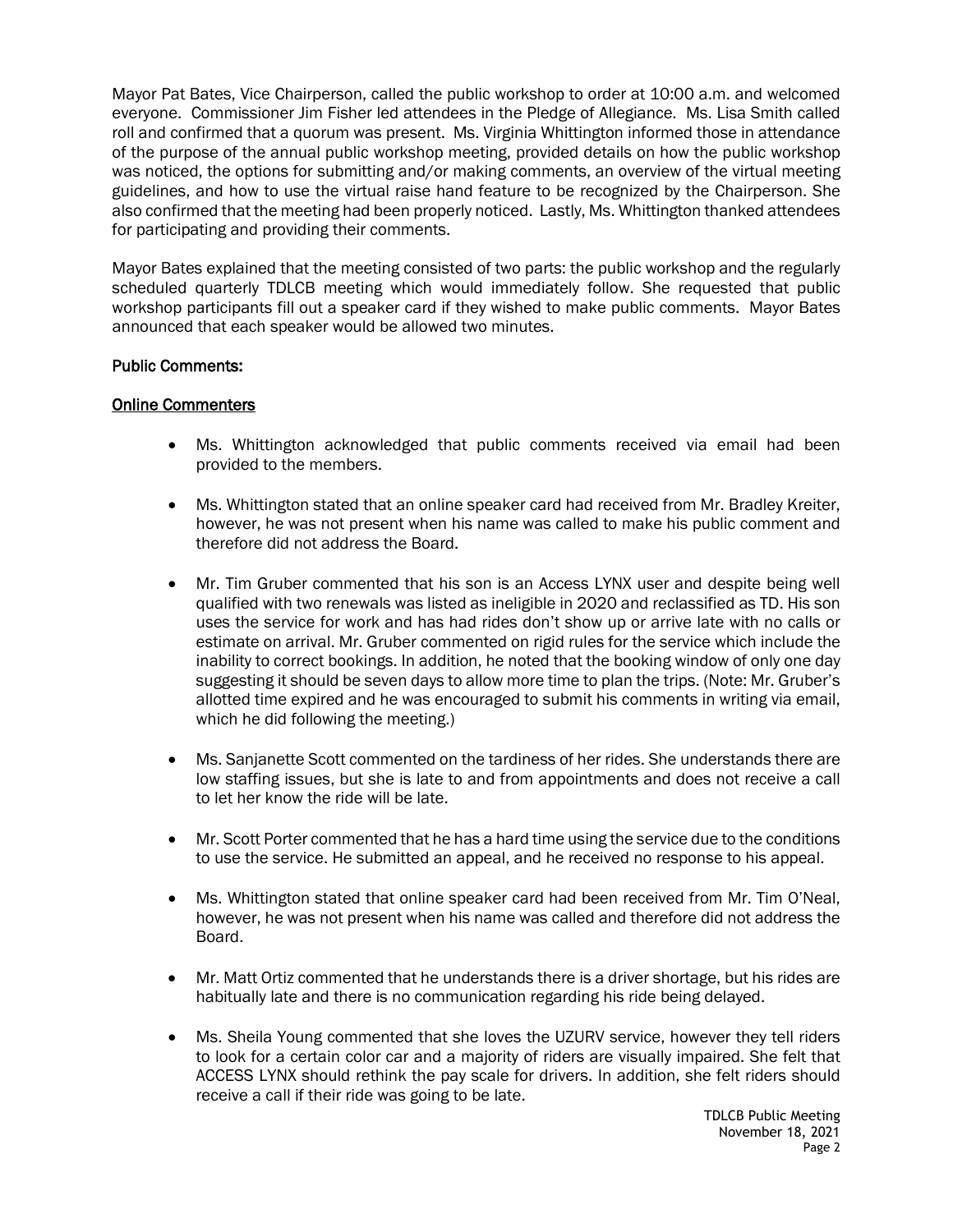Mayor Pat Bates, Vice Chairperson, called the public workshop to order at 10:00 a.m. and welcomed everyone. Commissioner Jim Fisher led attendees in the Pledge of Allegiance. Ms. Lisa Smith called roll and confirmed that a quorum was present. Ms. Virginia Whittington informed those in attendance of the purpose of the annual public workshop meeting, provided details on how the public workshop was noticed, the options for submitting and/or making comments, an overview of the virtual meeting guidelines, and how to use the virtual raise hand feature to be recognized by the Chairperson. She also confirmed that the meeting had been properly noticed. Lastly, Ms. Whittington thanked attendees for participating and providing their comments.

Mayor Bates explained that the meeting consisted of two parts: the public workshop and the regularly scheduled quarterly TDLCB meeting which would immediately follow. She requested that public workshop participants fill out a speaker card if they wished to make public comments. Mayor Bates announced that each speaker would be allowed two minutes.

#### Public Comments:

#### Online Commenters

- Ms. Whittington acknowledged that public comments received via email had been provided to the members.
- Ms. Whittington stated that an online speaker card had received from Mr. Bradley Kreiter, however, he was not present when his name was called to make his public comment and therefore did not address the Board.
- Mr. Tim Gruber commented that his son is an Access LYNX user and despite being well qualified with two renewals was listed as ineligible in 2020 and reclassified as TD. His son uses the service for work and has had rides don't show up or arrive late with no calls or estimate on arrival. Mr. Gruber commented on rigid rules for the service which include the inability to correct bookings. In addition, he noted that the booking window of only one day suggesting it should be seven days to allow more time to plan the trips. (Note: Mr. Gruber's allotted time expired and he was encouraged to submit his comments in writing via email, which he did following the meeting.)
- Ms. Sanjanette Scott commented on the tardiness of her rides. She understands there are low staffing issues, but she is late to and from appointments and does not receive a call to let her know the ride will be late.
- Mr. Scott Porter commented that he has a hard time using the service due to the conditions to use the service. He submitted an appeal, and he received no response to his appeal.
- Ms. Whittington stated that online speaker card had been received from Mr. Tim O'Neal, however, he was not present when his name was called and therefore did not address the Board.
- Mr. Matt Ortiz commented that he understands there is a driver shortage, but his rides are habitually late and there is no communication regarding his ride being delayed.
- Ms. Sheila Young commented that she loves the UZURV service, however they tell riders to look for a certain color car and a majority of riders are visually impaired. She felt that ACCESS LYNX should rethink the pay scale for drivers. In addition, she felt riders should receive a call if their ride was going to be late.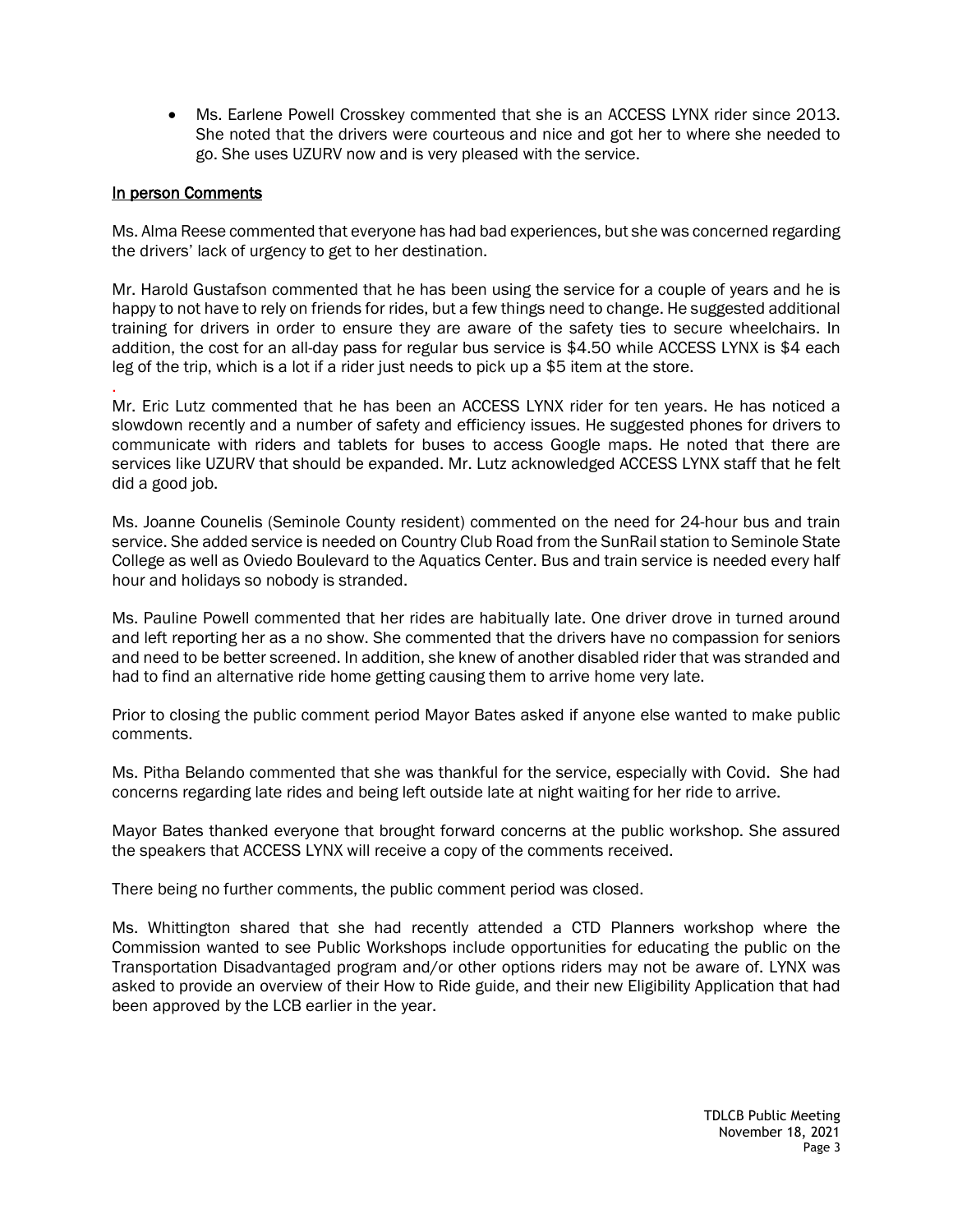• Ms. Earlene Powell Crosskey commented that she is an ACCESS LYNX rider since 2013. She noted that the drivers were courteous and nice and got her to where she needed to go. She uses UZURV now and is very pleased with the service.

# In person Comments

Ms. Alma Reese commented that everyone has had bad experiences, but she was concerned regarding the drivers' lack of urgency to get to her destination.

Mr. Harold Gustafson commented that he has been using the service for a couple of years and he is happy to not have to rely on friends for rides, but a few things need to change. He suggested additional training for drivers in order to ensure they are aware of the safety ties to secure wheelchairs. In addition, the cost for an all-day pass for regular bus service is \$4.50 while ACCESS LYNX is \$4 each leg of the trip, which is a lot if a rider just needs to pick up a \$5 item at the store.

. Mr. Eric Lutz commented that he has been an ACCESS LYNX rider for ten years. He has noticed a slowdown recently and a number of safety and efficiency issues. He suggested phones for drivers to communicate with riders and tablets for buses to access Google maps. He noted that there are services like UZURV that should be expanded. Mr. Lutz acknowledged ACCESS LYNX staff that he felt did a good job.

Ms. Joanne Counelis (Seminole County resident) commented on the need for 24-hour bus and train service. She added service is needed on Country Club Road from the SunRail station to Seminole State College as well as Oviedo Boulevard to the Aquatics Center. Bus and train service is needed every half hour and holidays so nobody is stranded.

Ms. Pauline Powell commented that her rides are habitually late. One driver drove in turned around and left reporting her as a no show. She commented that the drivers have no compassion for seniors and need to be better screened. In addition, she knew of another disabled rider that was stranded and had to find an alternative ride home getting causing them to arrive home very late.

Prior to closing the public comment period Mayor Bates asked if anyone else wanted to make public comments.

Ms. Pitha Belando commented that she was thankful for the service, especially with Covid. She had concerns regarding late rides and being left outside late at night waiting for her ride to arrive.

Mayor Bates thanked everyone that brought forward concerns at the public workshop. She assured the speakers that ACCESS LYNX will receive a copy of the comments received.

There being no further comments, the public comment period was closed.

Ms. Whittington shared that she had recently attended a CTD Planners workshop where the Commission wanted to see Public Workshops include opportunities for educating the public on the Transportation Disadvantaged program and/or other options riders may not be aware of. LYNX was asked to provide an overview of their How to Ride guide, and their new Eligibility Application that had been approved by the LCB earlier in the year.